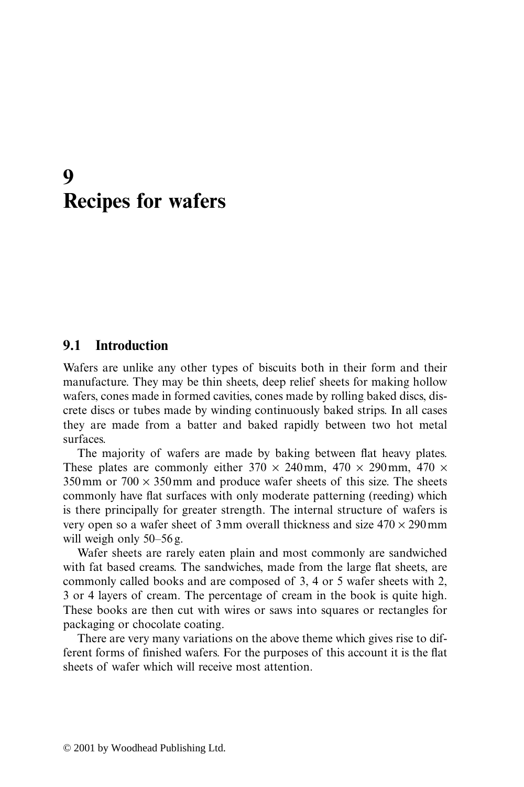# **9 Recipes for wafers**

#### **9.1 Introduction**

Wafers are unlike any other types of biscuits both in their form and their manufacture. They may be thin sheets, deep relief sheets for making hollow wafers, cones made in formed cavities, cones made by rolling baked discs, discrete discs or tubes made by winding continuously baked strips. In all cases they are made from a batter and baked rapidly between two hot metal surfaces.

The majority of wafers are made by baking between flat heavy plates. These plates are commonly either  $370 \times 240$  mm,  $470 \times 290$  mm,  $470 \times$  $350 \text{ mm}$  or  $700 \times 350 \text{ mm}$  and produce wafer sheets of this size. The sheets commonly have flat surfaces with only moderate patterning (reeding) which is there principally for greater strength. The internal structure of wafers is very open so a wafer sheet of 3 mm overall thickness and size  $470 \times 290$  mm will weigh only 50–56 g.

Wafer sheets are rarely eaten plain and most commonly are sandwiched with fat based creams. The sandwiches, made from the large flat sheets, are commonly called books and are composed of 3, 4 or 5 wafer sheets with 2, 3 or 4 layers of cream. The percentage of cream in the book is quite high. These books are then cut with wires or saws into squares or rectangles for packaging or chocolate coating.

There are very many variations on the above theme which gives rise to different forms of finished wafers. For the purposes of this account it is the flat sheets of wafer which will receive most attention.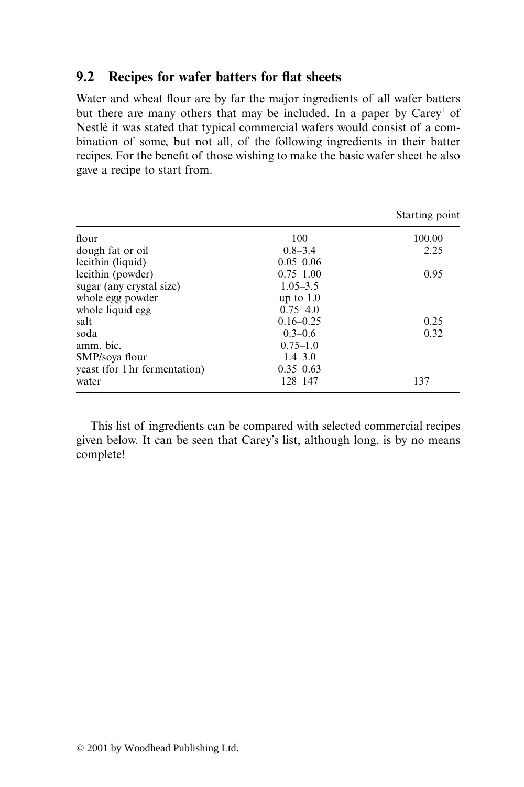## **9.2 Recipes for wafer batters for flat sheets**

Water and wheat flour are by far the major ingredients of all wafer b[atters](#page-6-0) but there are many others that may be included. In a paper by Carey<sup>1</sup> of Nestlé it was stated that typical commercial wafers would consist of a combination of some, but not all, of the following ingredients in their batter recipes. For the benefit of those wishing to make the basic wafer sheet he also gave a recipe to start from.

|                               |               | Starting point |
|-------------------------------|---------------|----------------|
| flour                         | 100           | 100.00         |
| dough fat or oil              | $0.8 - 3.4$   | 2.25           |
| lecithin (liquid)             | $0.05 - 0.06$ |                |
| lecithin (powder)             | $0.75 - 1.00$ | 0.95           |
| sugar (any crystal size)      | $1.05 - 3.5$  |                |
| whole egg powder              | up to $1.0$   |                |
| whole liquid egg              | $0.75 - 4.0$  |                |
| salt                          | $0.16 - 0.25$ | 0.25           |
| soda                          | $0.3 - 0.6$   | 0.32           |
| amm. bic.                     | $0.75 - 1.0$  |                |
| SMP/soya flour                | $1.4 - 3.0$   |                |
| yeast (for 1 hr fermentation) | $0.35 - 0.63$ |                |
| water                         | 128-147       | 137            |

This list of ingredients can be compared with selected commercial recipes given below. It can be seen that Carey's list, although long, is by no means complete!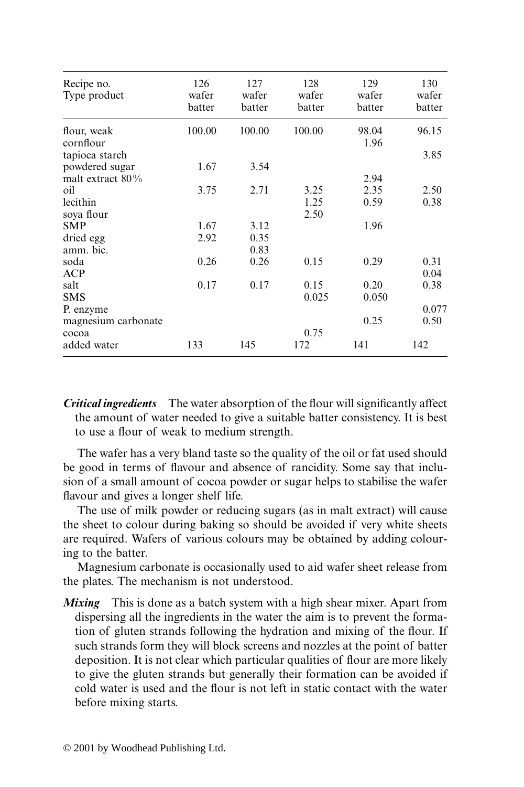| Recipe no.<br>Type product | 126<br>wafer<br>batter | 127<br>wafer<br>batter | 128<br>wafer<br>batter | 129<br>wafer<br>batter | 130<br>wafer<br>batter |
|----------------------------|------------------------|------------------------|------------------------|------------------------|------------------------|
| flour, weak<br>cornflour   | 100.00                 | 100.00                 | 100.00                 | 98.04<br>1.96          | 96.15                  |
| tapioca starch             |                        |                        |                        |                        | 3.85                   |
| powdered sugar             | 1.67                   | 3.54                   |                        |                        |                        |
| malt extract $80\%$        |                        |                        |                        | 2.94                   |                        |
| oil                        | 3.75                   | 2.71                   | 3.25                   | 2.35                   | 2.50                   |
| lecithin                   |                        |                        | 1.25                   | 0.59                   | 0.38                   |
| soya flour                 |                        |                        | 2.50                   |                        |                        |
| <b>SMP</b>                 | 1.67                   | 3.12                   |                        | 1.96                   |                        |
| dried egg                  | 2.92                   | 0.35                   |                        |                        |                        |
| amm. bic.                  |                        | 0.83                   |                        |                        |                        |
| soda                       | 0.26                   | 0.26                   | 0.15                   | 0.29                   | 0.31                   |
| <b>ACP</b>                 |                        |                        |                        |                        | 0.04                   |
| salt                       | 0.17                   | 0.17                   | 0.15                   | 0.20                   | 0.38                   |
| <b>SMS</b>                 |                        |                        | 0.025                  | 0.050                  |                        |
| P. enzyme                  |                        |                        |                        |                        | 0.077                  |
| magnesium carbonate        |                        |                        |                        | 0.25                   | 0.50                   |
| cocoa                      |                        |                        | 0.75                   |                        |                        |
| added water                | 133                    | 145                    | 172                    | 141                    | 142                    |

*Critical ingredients* The water absorption of the flour will significantly affect the amount of water needed to give a suitable batter consistency. It is best to use a flour of weak to medium strength.

The wafer has a very bland taste so the quality of the oil or fat used should be good in terms of flavour and absence of rancidity. Some say that inclusion of a small amount of cocoa powder or sugar helps to stabilise the wafer flavour and gives a longer shelf life.

The use of milk powder or reducing sugars (as in malt extract) will cause the sheet to colour during baking so should be avoided if very white sheets are required. Wafers of various colours may be obtained by adding colouring to the batter.

Magnesium carbonate is occasionally used to aid wafer sheet release from the plates. The mechanism is not understood.

*Mixing* This is done as a batch system with a high shear mixer. Apart from dispersing all the ingredients in the water the aim is to prevent the formation of gluten strands following the hydration and mixing of the flour. If such strands form they will block screens and nozzles at the point of batter deposition. It is not clear which particular qualities of flour are more likely to give the gluten strands but generally their formation can be avoided if cold water is used and the flour is not left in static contact with the water before mixing starts.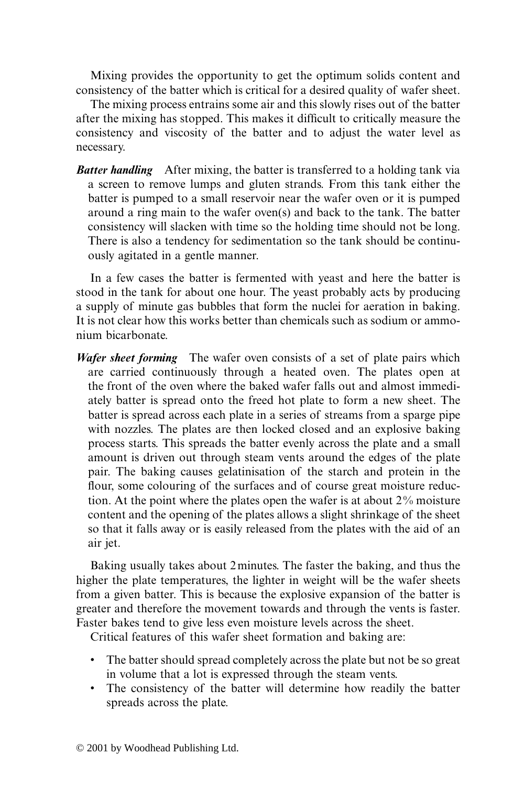Mixing provides the opportunity to get the optimum solids content and consistency of the batter which is critical for a desired quality of wafer sheet.

The mixing process entrains some air and this slowly rises out of the batter after the mixing has stopped. This makes it difficult to critically measure the consistency and viscosity of the batter and to adjust the water level as necessary.

*Batter handling* After mixing, the batter is transferred to a holding tank via a screen to remove lumps and gluten strands. From this tank either the batter is pumped to a small reservoir near the wafer oven or it is pumped around a ring main to the wafer oven(s) and back to the tank. The batter consistency will slacken with time so the holding time should not be long. There is also a tendency for sedimentation so the tank should be continuously agitated in a gentle manner.

In a few cases the batter is fermented with yeast and here the batter is stood in the tank for about one hour. The yeast probably acts by producing a supply of minute gas bubbles that form the nuclei for aeration in baking. It is not clear how this works better than chemicals such as sodium or ammonium bicarbonate.

*Wafer sheet forming* The wafer oven consists of a set of plate pairs which are carried continuously through a heated oven. The plates open at the front of the oven where the baked wafer falls out and almost immediately batter is spread onto the freed hot plate to form a new sheet. The batter is spread across each plate in a series of streams from a sparge pipe with nozzles. The plates are then locked closed and an explosive baking process starts. This spreads the batter evenly across the plate and a small amount is driven out through steam vents around the edges of the plate pair. The baking causes gelatinisation of the starch and protein in the flour, some colouring of the surfaces and of course great moisture reduction. At the point where the plates open the wafer is at about  $2\%$  moisture content and the opening of the plates allows a slight shrinkage of the sheet so that it falls away or is easily released from the plates with the aid of an air jet.

Baking usually takes about 2 minutes. The faster the baking, and thus the higher the plate temperatures, the lighter in weight will be the wafer sheets from a given batter. This is because the explosive expansion of the batter is greater and therefore the movement towards and through the vents is faster. Faster bakes tend to give less even moisture levels across the sheet.

Critical features of this wafer sheet formation and baking are:

- The batter should spread completely across the plate but not be so great in volume that a lot is expressed through the steam vents.
- The consistency of the batter will determine how readily the batter spreads across the plate.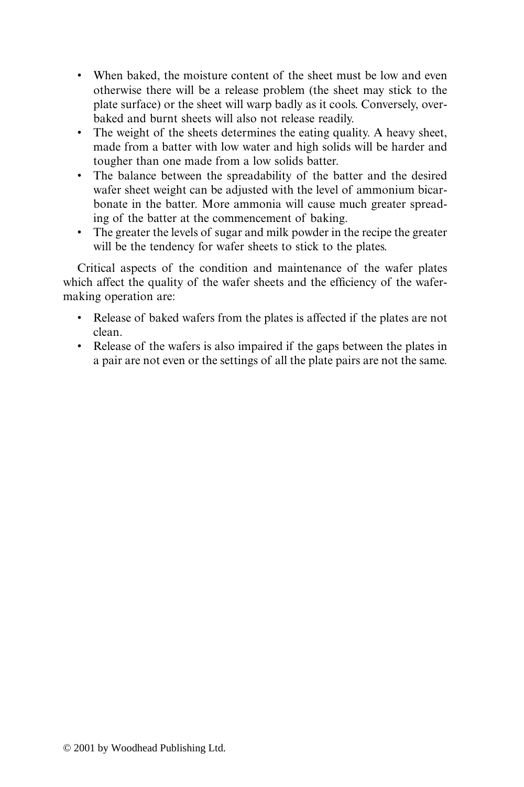- When baked, the moisture content of the sheet must be low and even otherwise there will be a release problem (the sheet may stick to the plate surface) or the sheet will warp badly as it cools. Conversely, overbaked and burnt sheets will also not release readily.
- The weight of the sheets determines the eating quality. A heavy sheet, made from a batter with low water and high solids will be harder and tougher than one made from a low solids batter.
- The balance between the spreadability of the batter and the desired wafer sheet weight can be adjusted with the level of ammonium bicarbonate in the batter. More ammonia will cause much greater spreading of the batter at the commencement of baking.
- The greater the levels of sugar and milk powder in the recipe the greater will be the tendency for wafer sheets to stick to the plates.

Critical aspects of the condition and maintenance of the wafer plates which affect the quality of the wafer sheets and the efficiency of the wafermaking operation are:

- Release of baked wafers from the plates is affected if the plates are not clean.
- Release of the wafers is also impaired if the gaps between the plates in a pair are not even or the settings of all the plate pairs are not the same.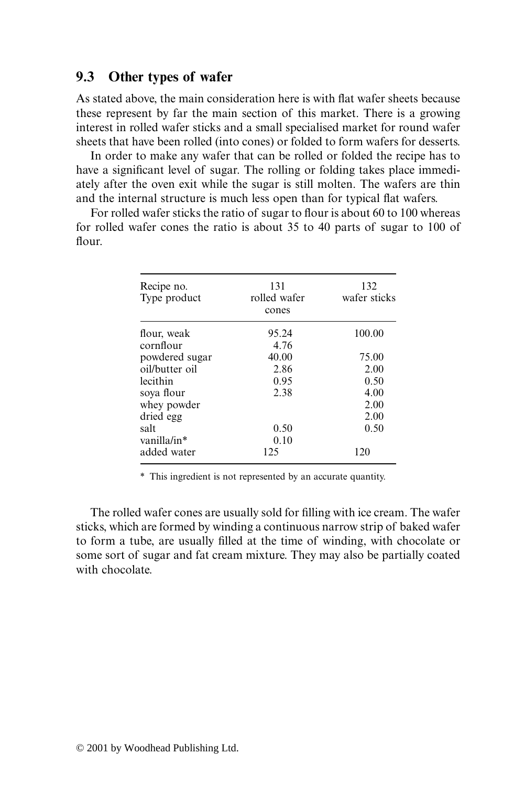### <span id="page-5-0"></span>**9.3 Other types of wafer**

As stated above, the main consideration here is with flat wafer sheets because these represent by far the main section of this market. There is a growing interest in rolled wafer sticks and a small specialised market for round wafer sheets that have been rolled (into cones) or folded to form wafers for desserts.

In order to make any wafer that can be rolled or folded the recipe has to have a significant level of sugar. The rolling or folding takes place immediately after the oven exit while the sugar is still molten. The wafers are thin and the internal structure is much less open than for typical flat wafers.

For rolled wafer sticks the ratio of sugar to flour is about 60 to 100 whereas for rolled wafer cones the ratio is about 35 to 40 parts of sugar to 100 of  $flow$ 

| Recipe no.<br>Type product | 131<br>rolled wafer<br>cones | 132<br>wafer sticks |
|----------------------------|------------------------------|---------------------|
| flour, weak                | 95.24                        | 100.00              |
| cornflour                  | 4.76                         |                     |
| powdered sugar             | 40.00                        | 75.00               |
| oil/butter oil             | 2.86                         | 2.00                |
| lecithin                   | 0.95                         | 0.50                |
| sova flour                 | 2.38                         | 4.00                |
| whey powder                |                              | 2.00                |
| dried egg                  |                              | 2.00                |
| salt                       | 0.50                         | 0.50                |
| vanilla/in*                | 0.10                         |                     |
| added water                | 125                          | 120                 |

\* This ingredient is not represented by an accurate quantity.

The rolled wafer cones are usually sold for filling with ice cream. The wafer sticks, which are formed by winding a continuous narrow strip of baked wafer to form a tube, are usually filled at the time of winding, with chocolate or some sort of sugar and fat cream mixture. They may also be partially coated with chocolate.